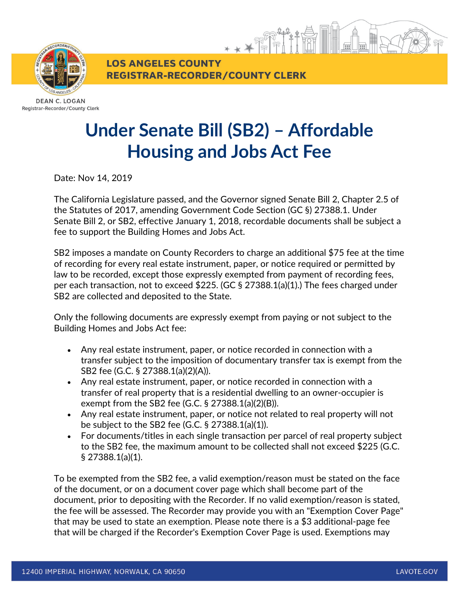

Registrar-Recorder/County Clerk

## **Under Senate Bill (SB2) – Affordable Housing and Jobs Act Fee**

**REGISTRAR-RECORDER/COUNTY CLERK** 

**LOS ANGELES COUNTY** 

Date: Nov 14, 2019

The California Legislature passed, and the Governor signed Senate Bill 2, Chapter 2.5 of the Statutes of 2017, amending Government Code Section (GC §) 27388.1. Under Senate Bill 2, or SB2, effective January 1, 2018, recordable documents shall be subject a fee to support the Building Homes and Jobs Act.

SB2 imposes a mandate on County Recorders to charge an additional \$75 fee at the time of recording for every real estate instrument, paper, or notice required or permitted by law to be recorded, except those expressly exempted from payment of recording fees, per each transaction, not to exceed \$225. (GC § 27388.1(a)(1).) The fees charged under SB2 are collected and deposited to the State.

Only the following documents are expressly exempt from paying or not subject to the Building Homes and Jobs Act fee:

- Any real estate instrument, paper, or notice recorded in connection with a transfer subject to the imposition of documentary transfer tax is exempt from the SB2 fee (G.C. § 27388.1(a)(2)(A)).
- Any real estate instrument, paper, or notice recorded in connection with a transfer of real property that is a residential dwelling to an owner-occupier is exempt from the SB2 fee (G.C. § 27388.1(a)(2)(B)).
- Any real estate instrument, paper, or notice not related to real property will not be subject to the SB2 fee (G.C. § 27388.1(a)(1)).
- For documents/titles in each single transaction per parcel of real property subject to the SB2 fee, the maximum amount to be collected shall not exceed \$225 (G.C. § 27388.1(a)(1).

To be exempted from the SB2 fee, a valid exemption/reason must be stated on the face of the document, or on a document cover page which shall become part of the document, prior to depositing with the Recorder. If no valid exemption/reason is stated, the fee will be assessed. The Recorder may provide you with an "Exemption Cover Page" that may be used to state an exemption. Please note there is a \$3 additional-page fee that will be charged if the Recorder's Exemption Cover Page is used. Exemptions may